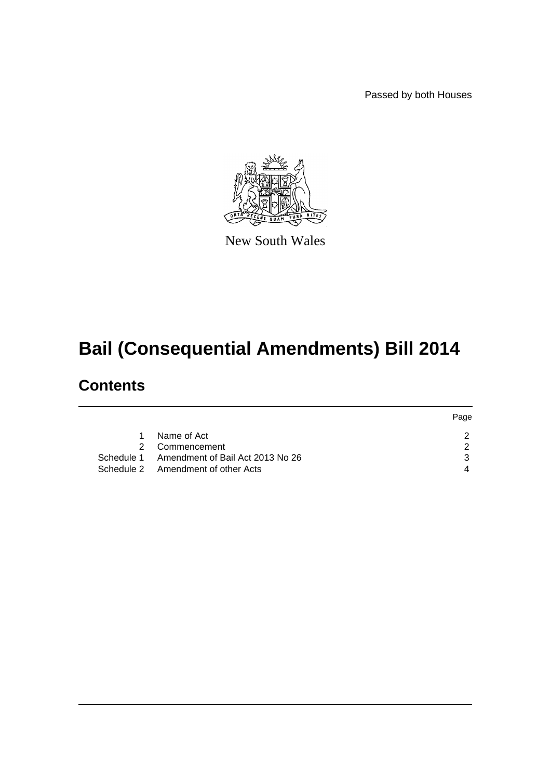Passed by both Houses

Page



New South Wales

# **Bail (Consequential Amendments) Bill 2014**

# **Contents**

|                                             | <b>Page</b> |
|---------------------------------------------|-------------|
| 1 Name of Act                               |             |
| 2 Commencement                              |             |
| Schedule 1 Amendment of Bail Act 2013 No 26 |             |
| Schedule 2 Amendment of other Acts          |             |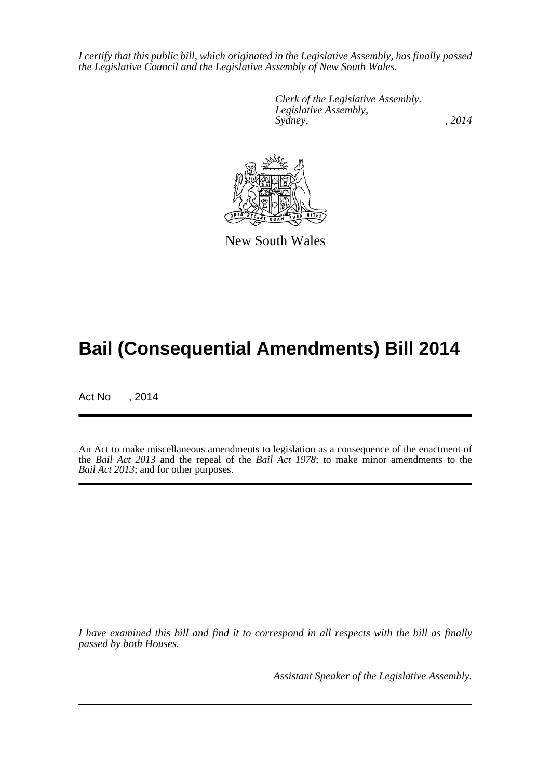*I certify that this public bill, which originated in the Legislative Assembly, has finally passed the Legislative Council and the Legislative Assembly of New South Wales.*

> *Clerk of the Legislative Assembly. Legislative Assembly, Sydney,* , 2014



New South Wales

# **Bail (Consequential Amendments) Bill 2014**

Act No , 2014

An Act to make miscellaneous amendments to legislation as a consequence of the enactment of the *Bail Act 2013* and the repeal of the *Bail Act 1978*; to make minor amendments to the *Bail Act 2013*; and for other purposes.

*I have examined this bill and find it to correspond in all respects with the bill as finally passed by both Houses.*

*Assistant Speaker of the Legislative Assembly.*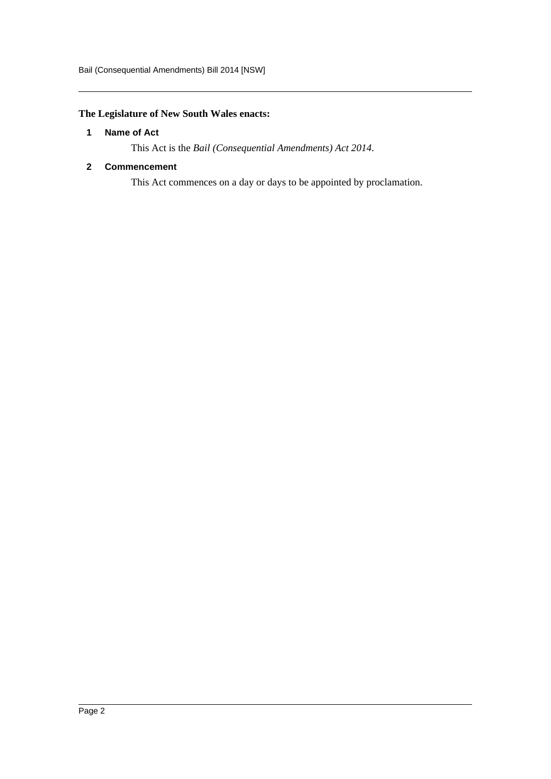# <span id="page-2-0"></span>**The Legislature of New South Wales enacts:**

#### **1 Name of Act**

This Act is the *Bail (Consequential Amendments) Act 2014*.

#### <span id="page-2-1"></span>**2 Commencement**

This Act commences on a day or days to be appointed by proclamation.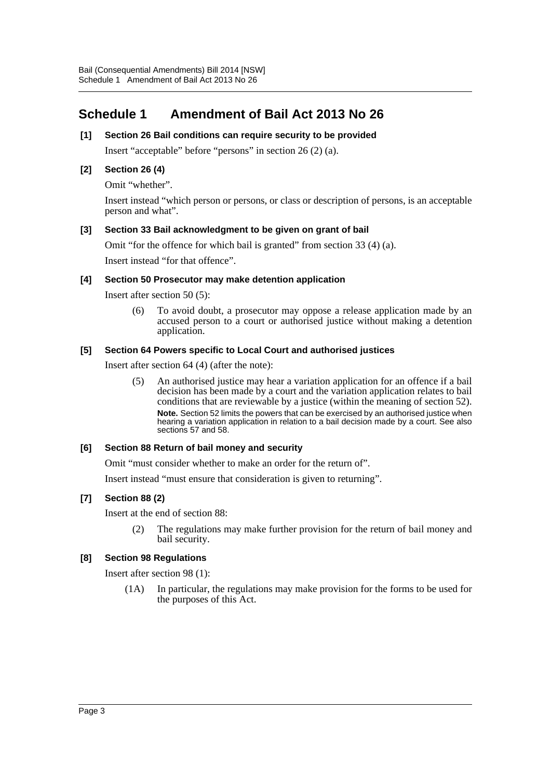# <span id="page-3-0"></span>**Schedule 1 Amendment of Bail Act 2013 No 26**

## **[1] Section 26 Bail conditions can require security to be provided**

Insert "acceptable" before "persons" in section 26 (2) (a).

#### **[2] Section 26 (4)**

Omit "whether".

Insert instead "which person or persons, or class or description of persons, is an acceptable person and what".

#### **[3] Section 33 Bail acknowledgment to be given on grant of bail**

Omit "for the offence for which bail is granted" from section 33 (4) (a).

Insert instead "for that offence".

#### **[4] Section 50 Prosecutor may make detention application**

Insert after section 50 (5):

(6) To avoid doubt, a prosecutor may oppose a release application made by an accused person to a court or authorised justice without making a detention application.

#### **[5] Section 64 Powers specific to Local Court and authorised justices**

Insert after section 64 (4) (after the note):

(5) An authorised justice may hear a variation application for an offence if a bail decision has been made by a court and the variation application relates to bail conditions that are reviewable by a justice (within the meaning of section 52). **Note.** Section 52 limits the powers that can be exercised by an authorised justice when hearing a variation application in relation to a bail decision made by a court. See also sections 57 and 58.

#### **[6] Section 88 Return of bail money and security**

Omit "must consider whether to make an order for the return of".

Insert instead "must ensure that consideration is given to returning".

# **[7] Section 88 (2)**

Insert at the end of section 88:

(2) The regulations may make further provision for the return of bail money and bail security.

#### **[8] Section 98 Regulations**

Insert after section 98 (1):

(1A) In particular, the regulations may make provision for the forms to be used for the purposes of this Act.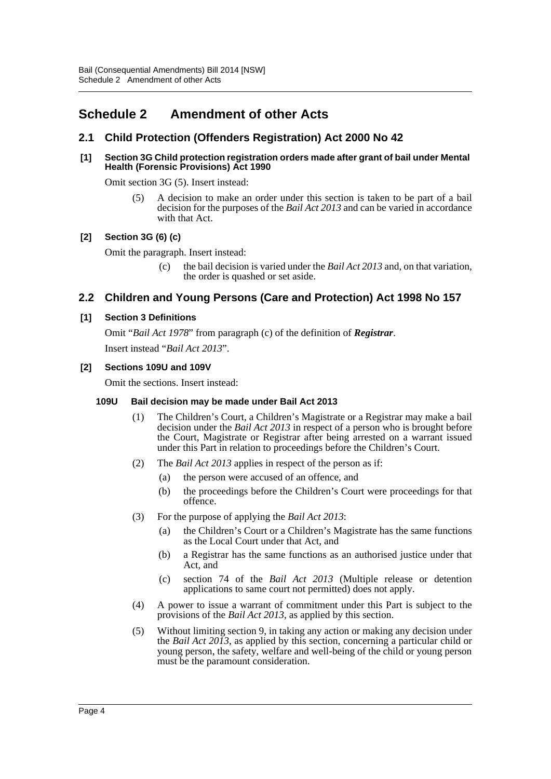# <span id="page-4-0"></span>**Schedule 2 Amendment of other Acts**

# **2.1 Child Protection (Offenders Registration) Act 2000 No 42**

#### **[1] Section 3G Child protection registration orders made after grant of bail under Mental Health (Forensic Provisions) Act 1990**

Omit section 3G (5). Insert instead:

(5) A decision to make an order under this section is taken to be part of a bail decision for the purposes of the *Bail Act 2013* and can be varied in accordance with that Act.

# **[2] Section 3G (6) (c)**

Omit the paragraph. Insert instead:

(c) the bail decision is varied under the *Bail Act 2013* and, on that variation, the order is quashed or set aside.

# **2.2 Children and Young Persons (Care and Protection) Act 1998 No 157**

#### **[1] Section 3 Definitions**

Omit "*Bail Act 1978*" from paragraph (c) of the definition of *Registrar*. Insert instead "*Bail Act 2013*".

#### **[2] Sections 109U and 109V**

Omit the sections. Insert instead:

#### **109U Bail decision may be made under Bail Act 2013**

- (1) The Children's Court, a Children's Magistrate or a Registrar may make a bail decision under the *Bail Act 2013* in respect of a person who is brought before the Court, Magistrate or Registrar after being arrested on a warrant issued under this Part in relation to proceedings before the Children's Court.
- (2) The *Bail Act 2013* applies in respect of the person as if:
	- (a) the person were accused of an offence, and
	- (b) the proceedings before the Children's Court were proceedings for that offence.
- (3) For the purpose of applying the *Bail Act 2013*:
	- (a) the Children's Court or a Children's Magistrate has the same functions as the Local Court under that Act, and
	- (b) a Registrar has the same functions as an authorised justice under that Act, and
	- (c) section 74 of the *Bail Act 2013* (Multiple release or detention applications to same court not permitted) does not apply.
- (4) A power to issue a warrant of commitment under this Part is subject to the provisions of the *Bail Act 2013*, as applied by this section.
- (5) Without limiting section 9, in taking any action or making any decision under the *Bail Act 2013*, as applied by this section, concerning a particular child or young person, the safety, welfare and well-being of the child or young person must be the paramount consideration.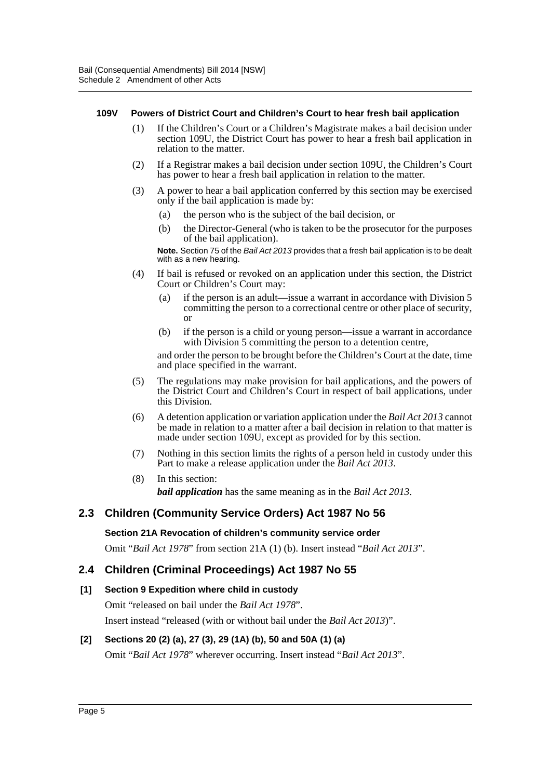#### **109V Powers of District Court and Children's Court to hear fresh bail application**

- (1) If the Children's Court or a Children's Magistrate makes a bail decision under section 109U, the District Court has power to hear a fresh bail application in relation to the matter.
- (2) If a Registrar makes a bail decision under section 109U, the Children's Court has power to hear a fresh bail application in relation to the matter.
- (3) A power to hear a bail application conferred by this section may be exercised only if the bail application is made by:
	- (a) the person who is the subject of the bail decision, or
	- (b) the Director-General (who is taken to be the prosecutor for the purposes of the bail application).

**Note.** Section 75 of the *Bail Act 2013* provides that a fresh bail application is to be dealt with as a new hearing.

- (4) If bail is refused or revoked on an application under this section, the District Court or Children's Court may:
	- (a) if the person is an adult—issue a warrant in accordance with Division 5 committing the person to a correctional centre or other place of security, or
	- (b) if the person is a child or young person—issue a warrant in accordance with Division 5 committing the person to a detention centre,

and order the person to be brought before the Children's Court at the date, time and place specified in the warrant.

- (5) The regulations may make provision for bail applications, and the powers of the District Court and Children's Court in respect of bail applications, under this Division.
- (6) A detention application or variation application under the *Bail Act 2013* cannot be made in relation to a matter after a bail decision in relation to that matter is made under section 109U, except as provided for by this section.
- (7) Nothing in this section limits the rights of a person held in custody under this Part to make a release application under the *Bail Act 2013*.
- (8) In this section: *bail application* has the same meaning as in the *Bail Act 2013*.

# **2.3 Children (Community Service Orders) Act 1987 No 56**

#### **Section 21A Revocation of children's community service order**

Omit "*Bail Act 1978*" from section 21A (1) (b). Insert instead "*Bail Act 2013*".

# **2.4 Children (Criminal Proceedings) Act 1987 No 55**

# **[1] Section 9 Expedition where child in custody**

Omit "released on bail under the *Bail Act 1978*".

Insert instead "released (with or without bail under the *Bail Act 2013*)".

# **[2] Sections 20 (2) (a), 27 (3), 29 (1A) (b), 50 and 50A (1) (a)**

Omit "*Bail Act 1978*" wherever occurring. Insert instead "*Bail Act 2013*".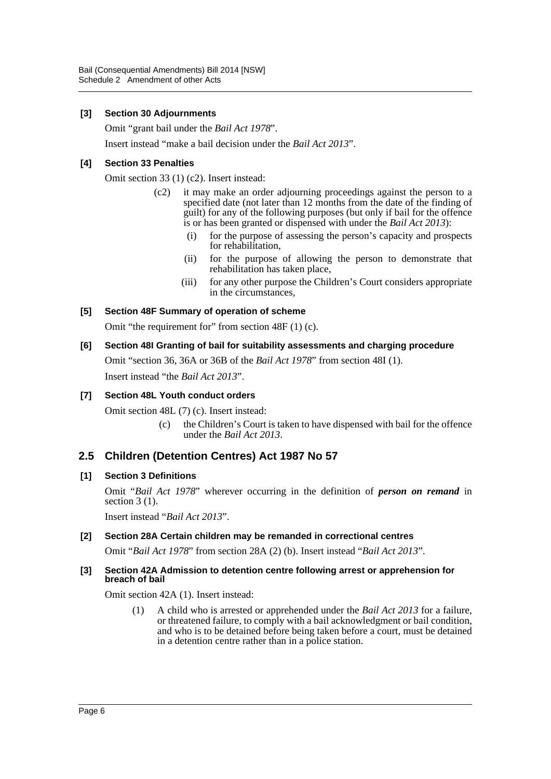#### **[3] Section 30 Adjournments**

Omit "grant bail under the *Bail Act 1978*".

Insert instead "make a bail decision under the *Bail Act 2013*".

#### **[4] Section 33 Penalties**

Omit section 33 (1) (c2). Insert instead:

- (c2) it may make an order adjourning proceedings against the person to a specified date (not later than 12 months from the date of the finding of guilt) for any of the following purposes (but only if bail for the offence is or has been granted or dispensed with under the *Bail Act 2013*):
	- (i) for the purpose of assessing the person's capacity and prospects for rehabilitation,
	- (ii) for the purpose of allowing the person to demonstrate that rehabilitation has taken place,
	- (iii) for any other purpose the Children's Court considers appropriate in the circumstances,

# **[5] Section 48F Summary of operation of scheme**

Omit "the requirement for" from section 48F (1) (c).

#### **[6] Section 48I Granting of bail for suitability assessments and charging procedure**

Omit "section 36, 36A or 36B of the *Bail Act 1978*" from section 48I (1). Insert instead "the *Bail Act 2013*".

# **[7] Section 48L Youth conduct orders**

Omit section 48L (7) (c). Insert instead:

(c) the Children's Court is taken to have dispensed with bail for the offence under the *Bail Act 2013*.

# **2.5 Children (Detention Centres) Act 1987 No 57**

#### **[1] Section 3 Definitions**

Omit "*Bail Act 1978*" wherever occurring in the definition of *person on remand* in section  $3(1)$ .

Insert instead "*Bail Act 2013*".

#### **[2] Section 28A Certain children may be remanded in correctional centres**

Omit "*Bail Act 1978*" from section 28A (2) (b). Insert instead "*Bail Act 2013*".

#### **[3] Section 42A Admission to detention centre following arrest or apprehension for breach of bail**

Omit section 42A (1). Insert instead:

(1) A child who is arrested or apprehended under the *Bail Act 2013* for a failure, or threatened failure, to comply with a bail acknowledgment or bail condition, and who is to be detained before being taken before a court, must be detained in a detention centre rather than in a police station.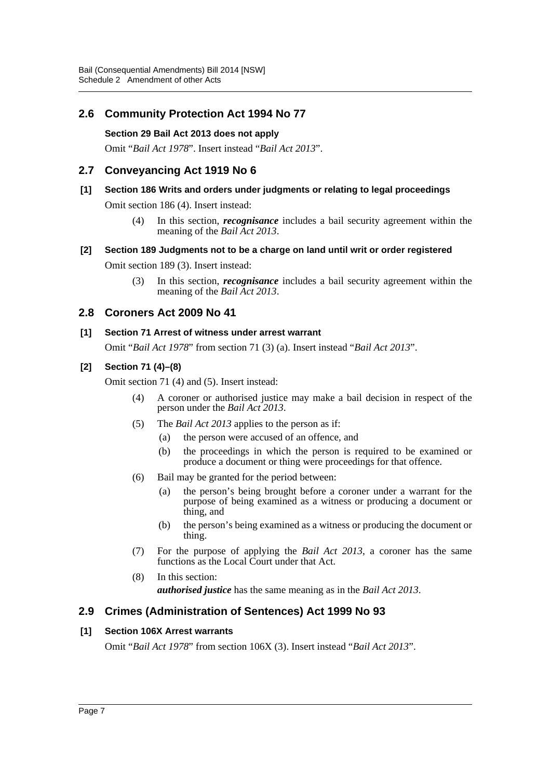# **2.6 Community Protection Act 1994 No 77**

#### **Section 29 Bail Act 2013 does not apply**

Omit "*Bail Act 1978*". Insert instead "*Bail Act 2013*".

# **2.7 Conveyancing Act 1919 No 6**

# **[1] Section 186 Writs and orders under judgments or relating to legal proceedings**

Omit section 186 (4). Insert instead:

(4) In this section, *recognisance* includes a bail security agreement within the meaning of the *Bail Act 2013*.

#### **[2] Section 189 Judgments not to be a charge on land until writ or order registered**

Omit section 189 (3). Insert instead:

(3) In this section, *recognisance* includes a bail security agreement within the meaning of the *Bail Act 2013*.

# **2.8 Coroners Act 2009 No 41**

#### **[1] Section 71 Arrest of witness under arrest warrant**

Omit "*Bail Act 1978*" from section 71 (3) (a). Insert instead "*Bail Act 2013*".

# **[2] Section 71 (4)–(8)**

Omit section 71 (4) and (5). Insert instead:

- (4) A coroner or authorised justice may make a bail decision in respect of the person under the *Bail Act 2013*.
- (5) The *Bail Act 2013* applies to the person as if:
	- (a) the person were accused of an offence, and
	- (b) the proceedings in which the person is required to be examined or produce a document or thing were proceedings for that offence.
- (6) Bail may be granted for the period between:
	- (a) the person's being brought before a coroner under a warrant for the purpose of being examined as a witness or producing a document or thing, and
	- (b) the person's being examined as a witness or producing the document or thing.
- (7) For the purpose of applying the *Bail Act 2013*, a coroner has the same functions as the Local Court under that Act.
- (8) In this section: *authorised justice* has the same meaning as in the *Bail Act 2013*.

# **2.9 Crimes (Administration of Sentences) Act 1999 No 93**

# **[1] Section 106X Arrest warrants**

Omit "*Bail Act 1978*" from section 106X (3). Insert instead "*Bail Act 2013*".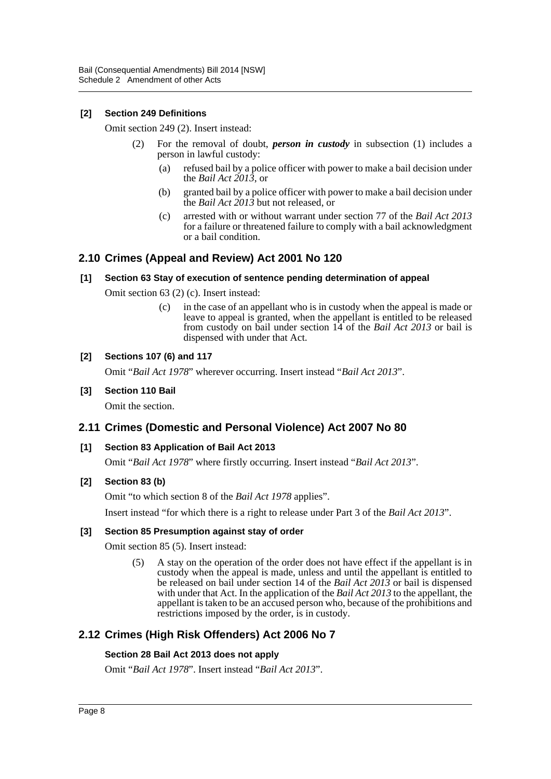## **[2] Section 249 Definitions**

Omit section 249 (2). Insert instead:

- (2) For the removal of doubt, *person in custody* in subsection (1) includes a person in lawful custody:
	- (a) refused bail by a police officer with power to make a bail decision under the *Bail Act 2013*, or
	- (b) granted bail by a police officer with power to make a bail decision under the *Bail Act 2013* but not released, or
	- (c) arrested with or without warrant under section 77 of the *Bail Act 2013* for a failure or threatened failure to comply with a bail acknowledgment or a bail condition.

# **2.10 Crimes (Appeal and Review) Act 2001 No 120**

#### **[1] Section 63 Stay of execution of sentence pending determination of appeal**

Omit section 63 (2) (c). Insert instead:

(c) in the case of an appellant who is in custody when the appeal is made or leave to appeal is granted, when the appellant is entitled to be released from custody on bail under section 14 of the *Bail Act 2013* or bail is dispensed with under that Act.

#### **[2] Sections 107 (6) and 117**

Omit "*Bail Act 1978*" wherever occurring. Insert instead "*Bail Act 2013*".

#### **[3] Section 110 Bail**

Omit the section.

# **2.11 Crimes (Domestic and Personal Violence) Act 2007 No 80**

#### **[1] Section 83 Application of Bail Act 2013**

Omit "*Bail Act 1978*" where firstly occurring. Insert instead "*Bail Act 2013*".

#### **[2] Section 83 (b)**

Omit "to which section 8 of the *Bail Act 1978* applies".

Insert instead "for which there is a right to release under Part 3 of the *Bail Act 2013*".

#### **[3] Section 85 Presumption against stay of order**

Omit section 85 (5). Insert instead:

(5) A stay on the operation of the order does not have effect if the appellant is in custody when the appeal is made, unless and until the appellant is entitled to be released on bail under section 14 of the *Bail Act 2013* or bail is dispensed with under that Act. In the application of the *Bail Act 2013* to the appellant, the appellant is taken to be an accused person who, because of the prohibitions and restrictions imposed by the order, is in custody.

# **2.12 Crimes (High Risk Offenders) Act 2006 No 7**

#### **Section 28 Bail Act 2013 does not apply**

Omit "*Bail Act 1978*". Insert instead "*Bail Act 2013*".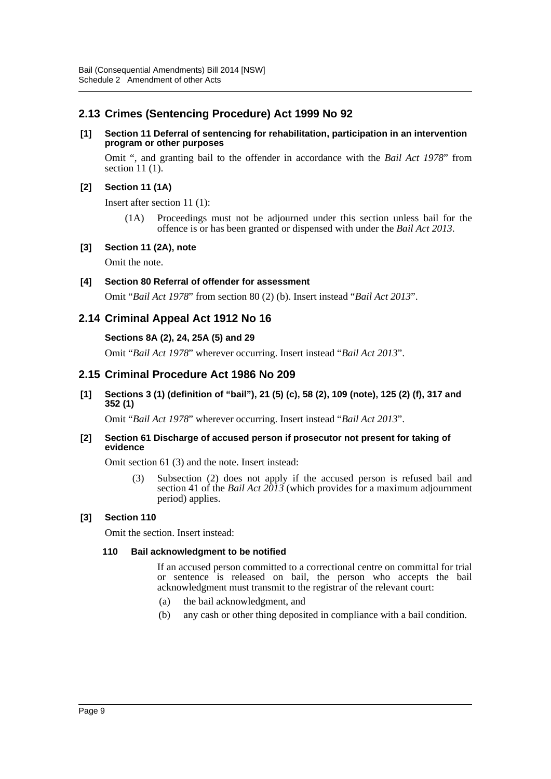# **2.13 Crimes (Sentencing Procedure) Act 1999 No 92**

#### **[1] Section 11 Deferral of sentencing for rehabilitation, participation in an intervention program or other purposes**

Omit ", and granting bail to the offender in accordance with the *Bail Act 1978*" from section 11 (1).

# **[2] Section 11 (1A)**

Insert after section 11 (1):

(1A) Proceedings must not be adjourned under this section unless bail for the offence is or has been granted or dispensed with under the *Bail Act 2013*.

# **[3] Section 11 (2A), note**

Omit the note.

# **[4] Section 80 Referral of offender for assessment**

Omit "*Bail Act 1978*" from section 80 (2) (b). Insert instead "*Bail Act 2013*".

# **2.14 Criminal Appeal Act 1912 No 16**

#### **Sections 8A (2), 24, 25A (5) and 29**

Omit "*Bail Act 1978*" wherever occurring. Insert instead "*Bail Act 2013*".

# **2.15 Criminal Procedure Act 1986 No 209**

**[1] Sections 3 (1) (definition of "bail"), 21 (5) (c), 58 (2), 109 (note), 125 (2) (f), 317 and 352 (1)**

Omit "*Bail Act 1978*" wherever occurring. Insert instead "*Bail Act 2013*".

#### **[2] Section 61 Discharge of accused person if prosecutor not present for taking of evidence**

Omit section 61 (3) and the note. Insert instead:

(3) Subsection (2) does not apply if the accused person is refused bail and section 41 of the *Bail Act 2013* (which provides for a maximum adjournment period) applies.

# **[3] Section 110**

Omit the section. Insert instead:

#### **110 Bail acknowledgment to be notified**

If an accused person committed to a correctional centre on committal for trial or sentence is released on bail, the person who accepts the bail acknowledgment must transmit to the registrar of the relevant court:

- (a) the bail acknowledgment, and
- (b) any cash or other thing deposited in compliance with a bail condition.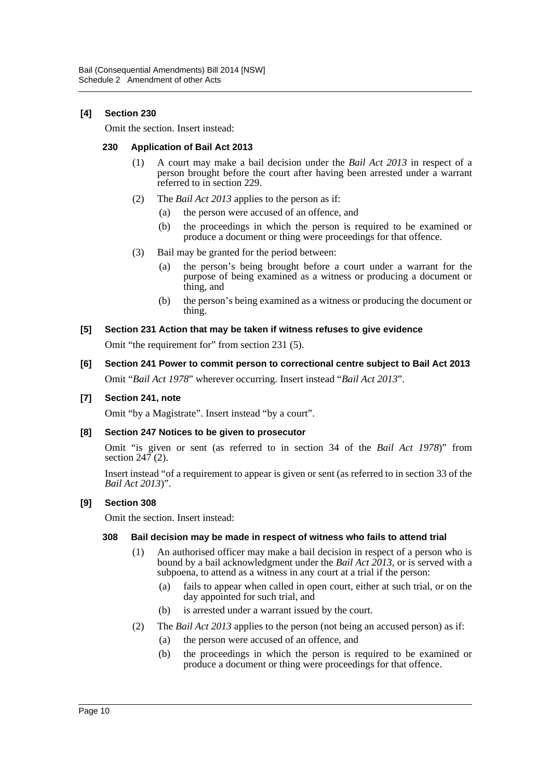# **[4] Section 230**

Omit the section. Insert instead:

#### **230 Application of Bail Act 2013**

- (1) A court may make a bail decision under the *Bail Act 2013* in respect of a person brought before the court after having been arrested under a warrant referred to in section 229.
- (2) The *Bail Act 2013* applies to the person as if:
	- (a) the person were accused of an offence, and
	- (b) the proceedings in which the person is required to be examined or produce a document or thing were proceedings for that offence.
- (3) Bail may be granted for the period between:
	- (a) the person's being brought before a court under a warrant for the purpose of being examined as a witness or producing a document or thing, and
	- (b) the person's being examined as a witness or producing the document or thing.

#### **[5] Section 231 Action that may be taken if witness refuses to give evidence**

Omit "the requirement for" from section 231 (5).

**[6] Section 241 Power to commit person to correctional centre subject to Bail Act 2013** Omit "*Bail Act 1978*" wherever occurring. Insert instead "*Bail Act 2013*".

#### **[7] Section 241, note**

Omit "by a Magistrate". Insert instead "by a court".

#### **[8] Section 247 Notices to be given to prosecutor**

Omit "is given or sent (as referred to in section 34 of the *Bail Act 1978*)" from section  $24\overline{7}$  (2).

Insert instead "of a requirement to appear is given or sent (as referred to in section 33 of the *Bail Act 2013*)".

#### **[9] Section 308**

Omit the section. Insert instead:

#### **308 Bail decision may be made in respect of witness who fails to attend trial**

- (1) An authorised officer may make a bail decision in respect of a person who is bound by a bail acknowledgment under the *Bail Act 2013*, or is served with a subpoena, to attend as a witness in any court at a trial if the person:
	- (a) fails to appear when called in open court, either at such trial, or on the day appointed for such trial, and
	- (b) is arrested under a warrant issued by the court.
- (2) The *Bail Act 2013* applies to the person (not being an accused person) as if:
	- (a) the person were accused of an offence, and
	- (b) the proceedings in which the person is required to be examined or produce a document or thing were proceedings for that offence.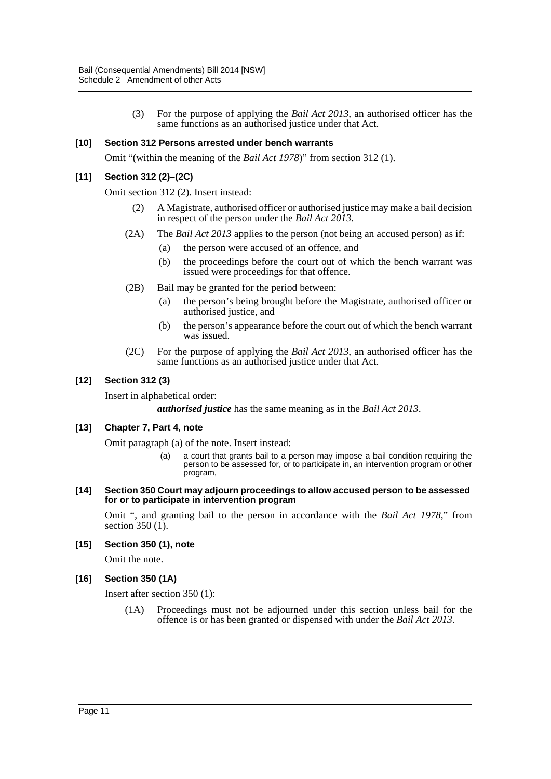(3) For the purpose of applying the *Bail Act 2013*, an authorised officer has the same functions as an authorised justice under that Act.

#### **[10] Section 312 Persons arrested under bench warrants**

Omit "(within the meaning of the *Bail Act 1978*)" from section 312 (1).

#### **[11] Section 312 (2)–(2C)**

Omit section 312 (2). Insert instead:

- (2) A Magistrate, authorised officer or authorised justice may make a bail decision in respect of the person under the *Bail Act 2013*.
- (2A) The *Bail Act 2013* applies to the person (not being an accused person) as if:
	- (a) the person were accused of an offence, and
	- (b) the proceedings before the court out of which the bench warrant was issued were proceedings for that offence.
- (2B) Bail may be granted for the period between:
	- (a) the person's being brought before the Magistrate, authorised officer or authorised justice, and
	- (b) the person's appearance before the court out of which the bench warrant was issued.
- (2C) For the purpose of applying the *Bail Act 2013*, an authorised officer has the same functions as an authorised justice under that Act.

#### **[12] Section 312 (3)**

Insert in alphabetical order:

*authorised justice* has the same meaning as in the *Bail Act 2013*.

#### **[13] Chapter 7, Part 4, note**

Omit paragraph (a) of the note. Insert instead:

- (a) a court that grants bail to a person may impose a bail condition requiring the person to be assessed for, or to participate in, an intervention program or other program,
- **[14] Section 350 Court may adjourn proceedings to allow accused person to be assessed for or to participate in intervention program**

Omit ", and granting bail to the person in accordance with the *Bail Act 1978*," from section  $350$  (1).

#### **[15] Section 350 (1), note**

Omit the note.

#### **[16] Section 350 (1A)**

Insert after section 350 (1):

(1A) Proceedings must not be adjourned under this section unless bail for the offence is or has been granted or dispensed with under the *Bail Act 2013*.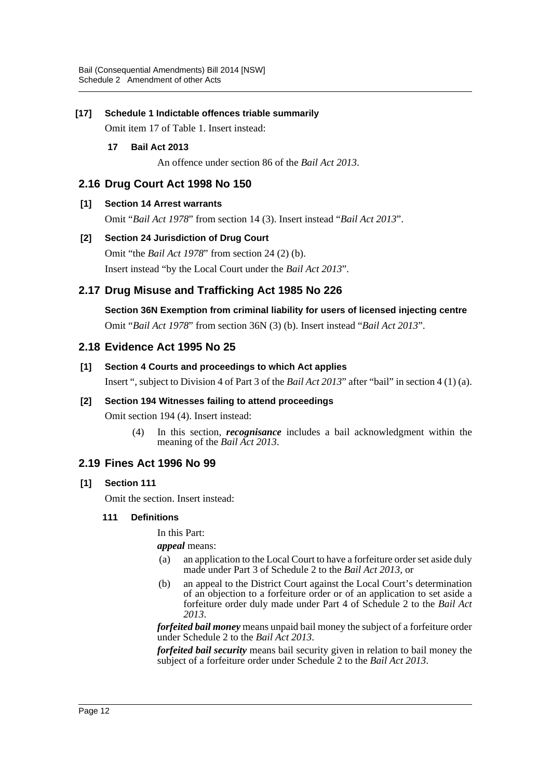## **[17] Schedule 1 Indictable offences triable summarily**

Omit item 17 of Table 1. Insert instead:

#### **17 Bail Act 2013**

An offence under section 86 of the *Bail Act 2013*.

# **2.16 Drug Court Act 1998 No 150**

#### **[1] Section 14 Arrest warrants**

Omit "*Bail Act 1978*" from section 14 (3). Insert instead "*Bail Act 2013*".

#### **[2] Section 24 Jurisdiction of Drug Court**

Omit "the *Bail Act 1978*" from section 24 (2) (b).

Insert instead "by the Local Court under the *Bail Act 2013*".

# **2.17 Drug Misuse and Trafficking Act 1985 No 226**

**Section 36N Exemption from criminal liability for users of licensed injecting centre** Omit "*Bail Act 1978*" from section 36N (3) (b). Insert instead "*Bail Act 2013*".

# **2.18 Evidence Act 1995 No 25**

#### **[1] Section 4 Courts and proceedings to which Act applies**

Insert ", subject to Division 4 of Part 3 of the *Bail Act 2013*" after "bail" in section 4 (1) (a).

#### **[2] Section 194 Witnesses failing to attend proceedings**

Omit section 194 (4). Insert instead:

(4) In this section, *recognisance* includes a bail acknowledgment within the meaning of the *Bail Act 2013*.

# **2.19 Fines Act 1996 No 99**

#### **[1] Section 111**

Omit the section. Insert instead:

#### **111 Definitions**

In this Part:

*appeal* means:

- (a) an application to the Local Court to have a forfeiture order set aside duly made under Part 3 of Schedule 2 to the *Bail Act 2013*, or
- (b) an appeal to the District Court against the Local Court's determination of an objection to a forfeiture order or of an application to set aside a forfeiture order duly made under Part 4 of Schedule 2 to the *Bail Act 2013*.

*forfeited bail money* means unpaid bail money the subject of a forfeiture order under Schedule 2 to the *Bail Act 2013*.

*forfeited bail security* means bail security given in relation to bail money the subject of a forfeiture order under Schedule 2 to the *Bail Act 2013*.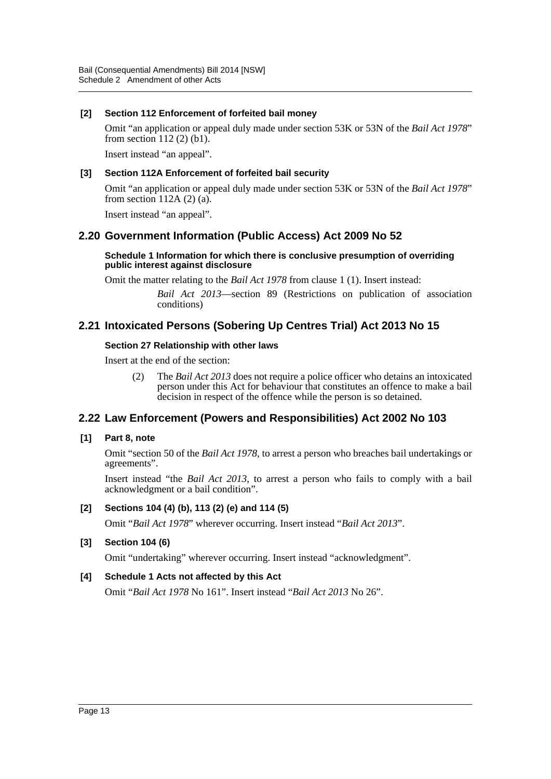## **[2] Section 112 Enforcement of forfeited bail money**

Omit "an application or appeal duly made under section 53K or 53N of the *Bail Act 1978*" from section 112 (2) (b1).

Insert instead "an appeal".

#### **[3] Section 112A Enforcement of forfeited bail security**

Omit "an application or appeal duly made under section 53K or 53N of the *Bail Act 1978*" from section 112A (2) (a).

Insert instead "an appeal".

# **2.20 Government Information (Public Access) Act 2009 No 52**

#### **Schedule 1 Information for which there is conclusive presumption of overriding public interest against disclosure**

Omit the matter relating to the *Bail Act 1978* from clause 1 (1). Insert instead:

*Bail Act 2013*—section 89 (Restrictions on publication of association conditions)

# **2.21 Intoxicated Persons (Sobering Up Centres Trial) Act 2013 No 15**

#### **Section 27 Relationship with other laws**

Insert at the end of the section:

(2) The *Bail Act 2013* does not require a police officer who detains an intoxicated person under this Act for behaviour that constitutes an offence to make a bail decision in respect of the offence while the person is so detained.

# **2.22 Law Enforcement (Powers and Responsibilities) Act 2002 No 103**

# **[1] Part 8, note**

Omit "section 50 of the *Bail Act 1978*, to arrest a person who breaches bail undertakings or agreements".

Insert instead "the *Bail Act 2013*, to arrest a person who fails to comply with a bail acknowledgment or a bail condition".

# **[2] Sections 104 (4) (b), 113 (2) (e) and 114 (5)**

Omit "*Bail Act 1978*" wherever occurring. Insert instead "*Bail Act 2013*".

# **[3] Section 104 (6)**

Omit "undertaking" wherever occurring. Insert instead "acknowledgment".

# **[4] Schedule 1 Acts not affected by this Act**

Omit "*Bail Act 1978* No 161". Insert instead "*Bail Act 2013* No 26".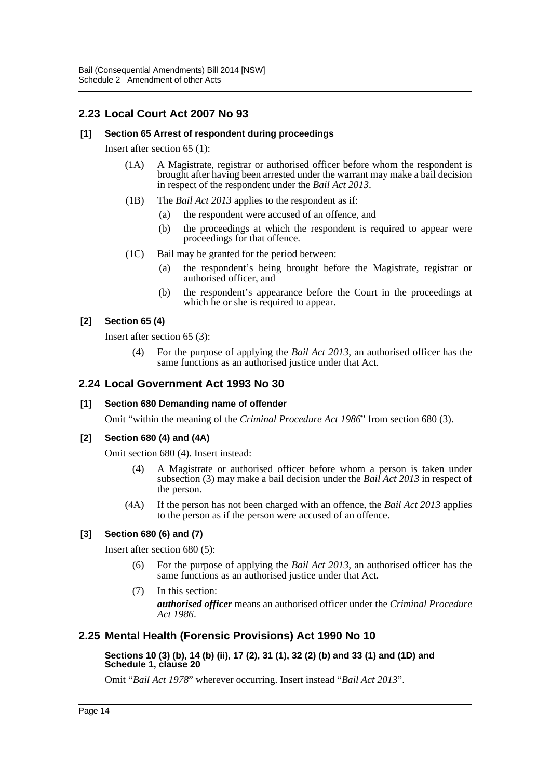# **2.23 Local Court Act 2007 No 93**

## **[1] Section 65 Arrest of respondent during proceedings**

Insert after section 65 (1):

- (1A) A Magistrate, registrar or authorised officer before whom the respondent is brought after having been arrested under the warrant may make a bail decision in respect of the respondent under the *Bail Act 2013*.
- (1B) The *Bail Act 2013* applies to the respondent as if:
	- (a) the respondent were accused of an offence, and
	- (b) the proceedings at which the respondent is required to appear were proceedings for that offence.
- (1C) Bail may be granted for the period between:
	- (a) the respondent's being brought before the Magistrate, registrar or authorised officer, and
	- (b) the respondent's appearance before the Court in the proceedings at which he or she is required to appear.

# **[2] Section 65 (4)**

Insert after section 65 (3):

(4) For the purpose of applying the *Bail Act 2013*, an authorised officer has the same functions as an authorised justice under that Act.

# **2.24 Local Government Act 1993 No 30**

#### **[1] Section 680 Demanding name of offender**

Omit "within the meaning of the *Criminal Procedure Act 1986*" from section 680 (3).

#### **[2] Section 680 (4) and (4A)**

Omit section 680 (4). Insert instead:

- (4) A Magistrate or authorised officer before whom a person is taken under subsection (3) may make a bail decision under the *Bail Act 2013* in respect of the person.
- (4A) If the person has not been charged with an offence, the *Bail Act 2013* applies to the person as if the person were accused of an offence.

# **[3] Section 680 (6) and (7)**

Insert after section 680 (5):

- For the purpose of applying the *Bail Act 2013*, an authorised officer has the same functions as an authorised justice under that Act.
- (7) In this section: *authorised officer* means an authorised officer under the *Criminal Procedure Act 1986*.

# **2.25 Mental Health (Forensic Provisions) Act 1990 No 10**

#### **Sections 10 (3) (b), 14 (b) (ii), 17 (2), 31 (1), 32 (2) (b) and 33 (1) and (1D) and Schedule 1, clause 20**

Omit "*Bail Act 1978*" wherever occurring. Insert instead "*Bail Act 2013*".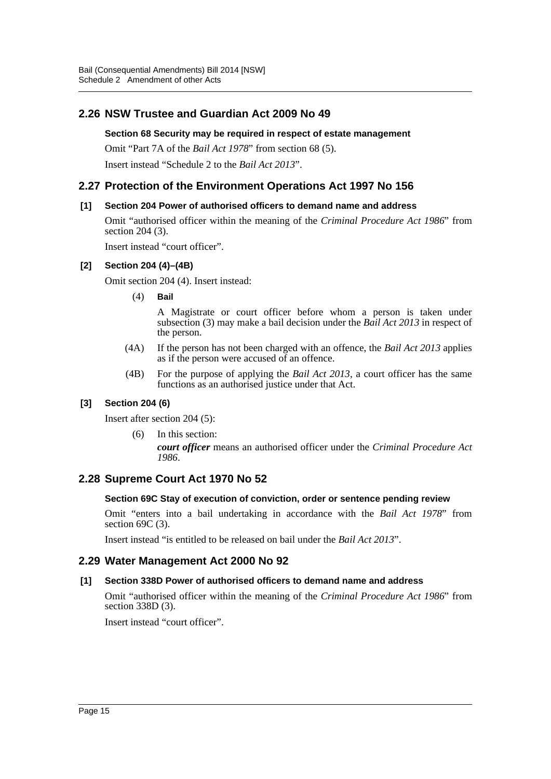# **2.26 NSW Trustee and Guardian Act 2009 No 49**

#### **Section 68 Security may be required in respect of estate management**

Omit "Part 7A of the *Bail Act 1978*" from section 68 (5). Insert instead "Schedule 2 to the *Bail Act 2013*".

# **2.27 Protection of the Environment Operations Act 1997 No 156**

# **[1] Section 204 Power of authorised officers to demand name and address**

Omit "authorised officer within the meaning of the *Criminal Procedure Act 1986*" from section 204 (3).

Insert instead "court officer".

#### **[2] Section 204 (4)–(4B)**

Omit section 204 (4). Insert instead:

(4) **Bail**

A Magistrate or court officer before whom a person is taken under subsection (3) may make a bail decision under the *Bail Act 2013* in respect of the person.

- (4A) If the person has not been charged with an offence, the *Bail Act 2013* applies as if the person were accused of an offence.
- (4B) For the purpose of applying the *Bail Act 2013*, a court officer has the same functions as an authorised justice under that Act.

# **[3] Section 204 (6)**

Insert after section 204 (5):

(6) In this section: *court officer* means an authorised officer under the *Criminal Procedure Act 1986*.

# **2.28 Supreme Court Act 1970 No 52**

#### **Section 69C Stay of execution of conviction, order or sentence pending review**

Omit "enters into a bail undertaking in accordance with the *Bail Act 1978*" from section 69C (3).

Insert instead "is entitled to be released on bail under the *Bail Act 2013*".

# **2.29 Water Management Act 2000 No 92**

#### **[1] Section 338D Power of authorised officers to demand name and address**

Omit "authorised officer within the meaning of the *Criminal Procedure Act 1986*" from section 338D (3).

Insert instead "court officer".